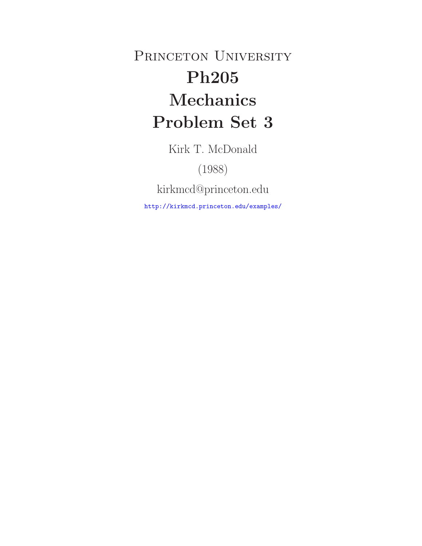PRINCETON UNIVERSITY **Ph205 Mechanics Problem Set 3**

Kirk T. McDonald

(1988)

kirkmcd@princeton.edu

http://kirkmcd.princeton.edu/examples/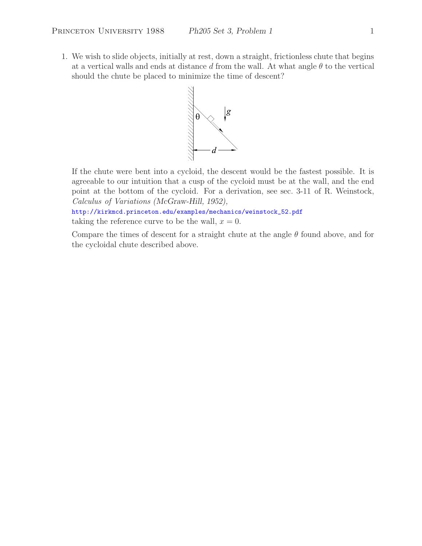1. We wish to slide objects, initially at rest, down a straight, frictionless chute that begins at a vertical walls and ends at distance d from the wall. At what angle  $\theta$  to the vertical should the chute be placed to minimize the time of descent?



If the chute were bent into a cycloid, the descent would be the fastest possible. It is agreeable to our intuition that a cusp of the cycloid must be at the wall, and the end point at the bottom of the cycloid. For a derivation, see sec. 3-11 of R. Weinstock, *Calculus of Variations (McGraw-Hill, 1952),*

http://kirkmcd.princeton.edu/examples/mechanics/weinstock\_52.pdf taking the reference curve to be the wall,  $x = 0$ .

Compare the times of descent for a straight chute at the angle  $\theta$  found above, and for the cycloidal chute described above.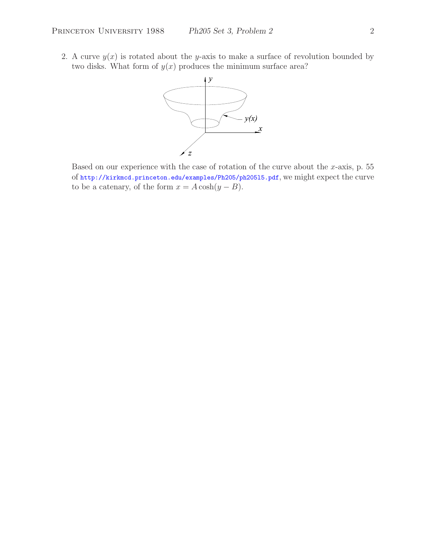2. A curve  $y(x)$  is rotated about the y-axis to make a surface of revolution bounded by two disks. What form of  $y(x)$  produces the minimum surface area?



Based on our experience with the case of rotation of the curve about the  $x$ -axis, p. 55 of http://kirkmcd.princeton.edu/examples/Ph205/ph205l5.pdf, we might expect the curve to be a catenary, of the form  $x = A \cosh(y - B)$ .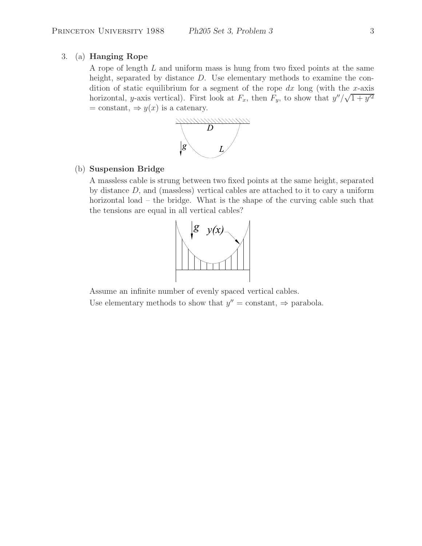## 3. (a) **Hanging Rope**

A rope of length L and uniform mass is hung from two fixed points at the same height, separated by distance D. Use elementary methods to examine the condition of static equilibrium for a segment of the rope  $dx$  long (with the x-axis horizontal, y-axis vertical). First look at  $F_x$ , then  $F_y$ , to show that  $y''/\sqrt{1+y'^2}$  $=$  constant,  $\Rightarrow$   $y(x)$  is a catenary.



### (b) **Suspension Bridge**

A massless cable is strung between two fixed points at the same height, separated by distance  $D$ , and (massless) vertical cables are attached to it to cary a uniform horizontal load – the bridge. What is the shape of the curving cable such that the tensions are equal in all vertical cables?



Assume an infinite number of evenly spaced vertical cables. Use elementary methods to show that  $y'' = \text{constant}$ ,  $\Rightarrow$  parabola.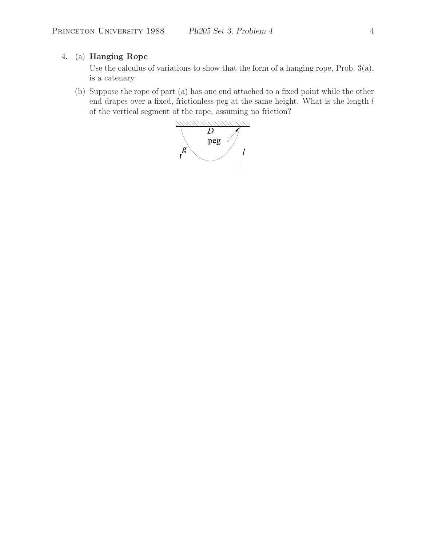# 4. (a) **Hanging Rope**

Use the calculus of variations to show that the form of a hanging rope, Prob. 3(a), is a catenary.

(b) Suppose the rope of part (a) has one end attached to a fixed point while the other end drapes over a fixed, frictionless peg at the same height. What is the length l of the vertical segment of the rope, assuming no friction?

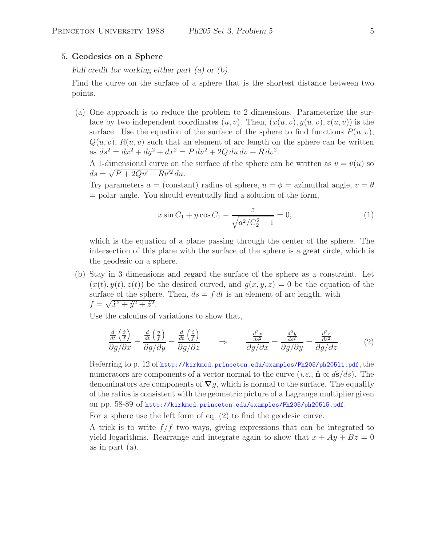#### 5. **Geodesics on a Sphere**

*Full credit for working either part (a) or (b).*

Find the curve on the surface of a sphere that is the shortest distance between two points.

(a) One approach is to reduce the problem to 2 dimensions. Parameterize the surface by two independent coordinates  $(u, v)$ . Then,  $(x(u, v), y(u, v), z(u, v))$  is the surface. Use the equation of the surface of the sphere to find functions  $P(u, v)$ ,  $Q(u, v)$ ,  $R(u, v)$  such that an element of arc length on the sphere can be written as  $ds^2 = dx^2 + dy^2 + dx^2 = P du^2 + 2Q du dv + R dv^2$ .

A 1-dimensional curve on the surface of the sphere can be written as  $v = v(u)$  so  $ds = \sqrt{P + 2Qv' + Rv'^2} du.$ 

Try parameters  $a = (constant)$  radius of sphere,  $u = \phi =$  azimuthal angle,  $v = \theta$ = polar angle. You should eventually find a solution of the form,

$$
x\sin C_1 + y\cos C_1 - \frac{z}{\sqrt{a^2/C_2^2 - 1}} = 0,\tag{1}
$$

which is the equation of a plane passing through the center of the sphere. The intersection of this plane with the surface of the sphere is a great circle, which is the geodesic on a sphere.

(b) Stay in 3 dimensions and regard the surface of the sphere as a constraint. Let  $(x(t), y(t), z(t))$  be the desired curved, and  $g(x, y, z) = 0$  be the equation of the surface of the sphere. Then,  $ds = f dt$  is an element of arc length, with  $f = \sqrt{\dot{x}^2 + \dot{y}^2 + \dot{z}^2}.$ 

Use the calculus of variations to show that,

$$
\frac{\frac{d}{dt}\left(\frac{\dot{x}}{f}\right)}{\partial g/\partial x} = \frac{\frac{d}{dt}\left(\frac{\dot{y}}{f}\right)}{\partial g/\partial y} = \frac{\frac{d}{dt}\left(\frac{\dot{z}}{f}\right)}{\partial g/\partial z} \qquad \Rightarrow \qquad \frac{\frac{d^2x}{ds^2}}{\partial g/\partial x} = \frac{\frac{d^2y}{ds^2}}{\partial g/\partial y} = \frac{\frac{d^2z}{ds^2}}{\partial g/\partial z}.
$$
 (2)

Referring to p. 12 of http://kirkmcd.princeton.edu/examples/Ph205/ph205l1.pdf, the numerators are components of a vector normal to the curve (*i.e.*,  $\hat{\mathbf{n}} \propto d\hat{\mathbf{s}}/ds$ ). The denominators are components of *∇*g, which is normal to the surface. The equality of the ratios is consistent with the geometric picture of a Lagrange multiplier given on pp. 58-89 of http://kirkmcd.princeton.edu/examples/Ph205/ph205l5.pdf.

For a sphere use the left form of eq. (2) to find the geodesic curve.

A trick is to write  $f/f$  two ways, giving expressions that can be integrated to yield logarithms. Rearrange and integrate again to show that  $x + Ay + Bz = 0$ as in part (a).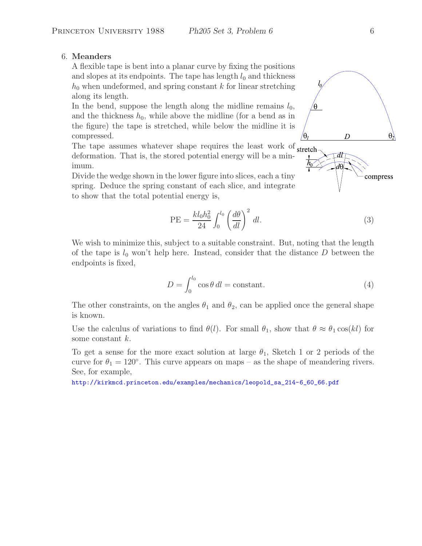## 6. **Meanders**

A flexible tape is bent into a planar curve by fixing the positions and slopes at its endpoints. The tape has length  $l_0$  and thickness  $h_0$  when undeformed, and spring constant k for linear stretching along its length.

In the bend, suppose the length along the midline remains  $l_0$ , and the thickness  $h_0$ , while above the midline (for a bend as in the figure) the tape is stretched, while below the midline it is compressed.

The tape assumes whatever shape requires the least work of stretchdeformation. That is, the stored potential energy will be a minimum.

Divide the wedge shown in the lower figure into slices, each a tiny spring. Deduce the spring constant of each slice, and integrate to show that the total potential energy is,

$$
PE = \frac{kl_0 h_0^2}{24} \int_0^{l_0} \left(\frac{d\theta}{dl}\right)^2 dl.
$$
\n(3)

We wish to minimize this, subject to a suitable constraint. But, noting that the length of the tape is  $l_0$  won't help here. Instead, consider that the distance D between the endpoints is fixed,

$$
D = \int_0^{l_0} \cos \theta \, dl = \text{constant.} \tag{4}
$$

The other constraints, on the angles  $\theta_1$  and  $\theta_2$ , can be applied once the general shape is known.

Use the calculus of variations to find  $\theta(l)$ . For small  $\theta_1$ , show that  $\theta \approx \theta_1 \cos(kl)$  for some constant k.

To get a sense for the more exact solution at large  $\theta_1$ , Sketch 1 or 2 periods of the curve for  $\theta_1 = 120^\circ$ . This curve appears on maps – as the shape of meandering rivers. See, for example,

http://kirkmcd.princeton.edu/examples/mechanics/leopold\_sa\_214-6\_60\_66.pdf



compress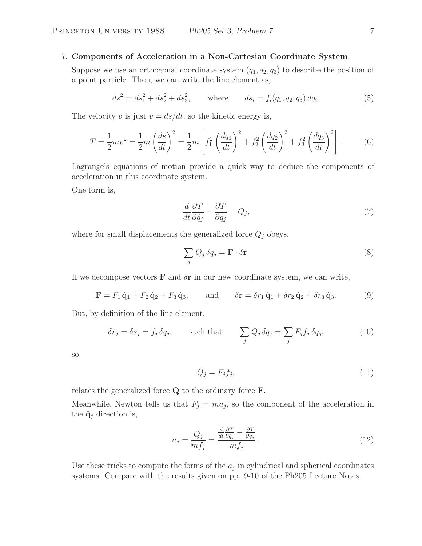## 7. **Components of Acceleration in a Non-Cartesian Coordinate System**

Suppose we use an orthogonal coordinate system  $(q_1, q_2, q_3)$  to describe the position of a point particle. Then, we can write the line element as,

$$
ds^{2} = ds_{1}^{2} + ds_{2}^{2} + ds_{3}^{2}, \qquad \text{where} \qquad ds_{i} = f_{i}(q_{1}, q_{2}, q_{3}) dq_{i}. \tag{5}
$$

The velocity v is just  $v = ds/dt$ , so the kinetic energy is,

$$
T = \frac{1}{2}mv^2 = \frac{1}{2}m\left(\frac{ds}{dt}\right)^2 = \frac{1}{2}m\left[f_1^2\left(\frac{dq_1}{dt}\right)^2 + f_2^2\left(\frac{dq_2}{dt}\right)^2 + f_3^2\left(\frac{dq_3}{dt}\right)^2\right].
$$
 (6)

Lagrange's equations of motion provide a quick way to deduce the components of acceleration in this coordinate system.

One form is,

$$
\frac{d}{dt}\frac{\partial T}{\partial \dot{q}_j} - \frac{\partial T}{\partial q_j} = Q_j,\tag{7}
$$

where for small displacements the generalized force  $Q_j$  obeys,

$$
\sum_{j} Q_j \,\delta q_j = \mathbf{F} \cdot \delta \mathbf{r}.\tag{8}
$$

If we decompose vectors  $\bf{F}$  and  $\delta \bf{r}$  in our new coordinate system, we can write,

$$
\mathbf{F} = F_1 \hat{\mathbf{q}}_1 + F_2 \hat{\mathbf{q}}_2 + F_3 \hat{\mathbf{q}}_3, \quad \text{and} \quad \delta \mathbf{r} = \delta r_1 \hat{\mathbf{q}}_1 + \delta r_2 \hat{\mathbf{q}}_2 + \delta r_3 \hat{\mathbf{q}}_3. \tag{9}
$$

But, by definition of the line element,

$$
\delta r_j = \delta s_j = f_j \, \delta q_j, \qquad \text{such that} \qquad \sum_j Q_j \, \delta q_j = \sum_j F_j f_j \, \delta q_j,\tag{10}
$$

so,

$$
Q_j = F_j f_j,\tag{11}
$$

relates the generalized force **Q** to the ordinary force **F**.

Meanwhile, Newton tells us that  $F_j = ma_j$ , so the component of the acceleration in the  $\hat{\mathbf{q}}_j$  direction is,

$$
a_j = \frac{Q_j}{m f_j} = \frac{\frac{d}{dt} \frac{\partial T}{\partial \dot{q}_j} - \frac{\partial T}{\partial q_j}}{m f_j}.
$$
\n(12)

Use these tricks to compute the forms of the  $a_j$  in cylindrical and spherical coordinates systems. Compare with the results given on pp. 9-10 of the Ph205 Lecture Notes.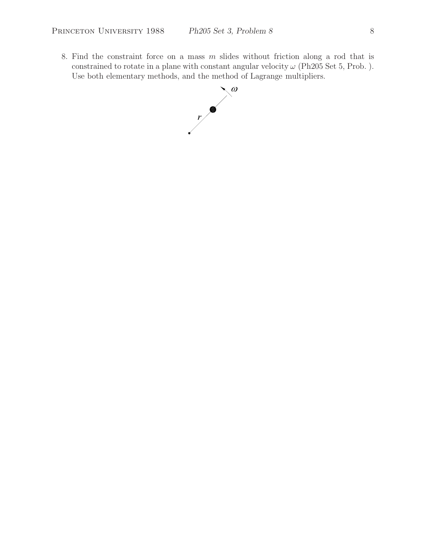8. Find the constraint force on a mass  $m$  slides without friction along a rod that is constrained to rotate in a plane with constant angular velocity  $\omega$  (Ph205 Set 5, Prob.). Use both elementary methods, and the method of Lagrange multipliers.

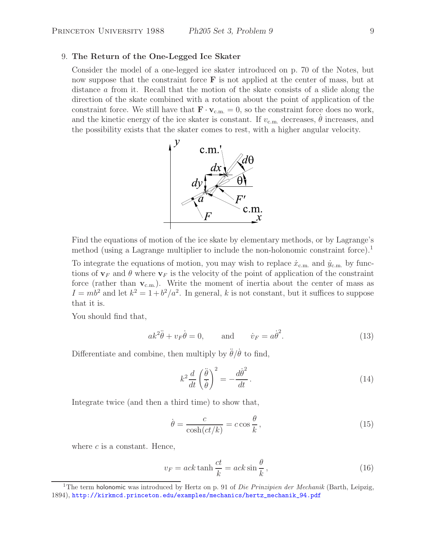#### 9. **The Return of the One-Legged Ice Skater**

Consider the model of a one-legged ice skater introduced on p. 70 of the Notes, but now suppose that the constraint force **F** is not applied at the center of mass, but at distance a from it. Recall that the motion of the skate consists of a slide along the direction of the skate combined with a rotation about the point of application of the constraint force. We still have that  $\mathbf{F} \cdot \mathbf{v}_{\text{c.m.}} = 0$ , so the constraint force does no work, and the kinetic energy of the ice skater is constant. If  $v_{\text{c.m.}}$  decreases,  $\dot{\theta}$  increases, and the possibility exists that the skater comes to rest, with a higher angular velocity.



Find the equations of motion of the ice skate by elementary methods, or by Lagrange's method (using a Lagrange multiplier to include the non-holonomic constraint force).<sup>1</sup>

To integrate the equations of motion, you may wish to replace  $\dot{x}_{\text{c.m.}}$  and  $\dot{y}_{\text{c.m.}}$  by functions of  $\mathbf{v}_F$  and  $\theta$  where  $\mathbf{v}_F$  is the velocity of the point of application of the constraint force (rather than  $v_{c.m.}$ ). Write the moment of inertia about the center of mass as  $I = mb^2$  and let  $k^2 = 1 + b^2/a^2$ . In general, k is not constant, but it suffices to suppose that it is.

You should find that,

$$
ak^2\ddot{\theta} + v_F\dot{\theta} = 0, \qquad \text{and} \qquad \dot{v}_F = a\dot{\theta}^2. \tag{13}
$$

Differentiate and combine, then multiply by  $\ddot{\theta}/\dot{\theta}$  to find,

$$
k^2 \frac{d}{dt} \left(\frac{\ddot{\theta}}{\dot{\theta}}\right)^2 = -\frac{d\dot{\theta}^2}{dt}.
$$
 (14)

Integrate twice (and then a third time) to show that,

$$
\dot{\theta} = \frac{c}{\cosh(ct/k)} = c \cos \frac{\theta}{k},\tag{15}
$$

where  $c$  is a constant. Hence,

$$
v_F = ack \tanh\frac{ct}{k} = ack \sin\frac{\theta}{k},\qquad(16)
$$

<sup>1</sup>The term holonomic was introduced by Hertz on p. 91 of *Die Prinzipien der Mechanik* (Barth, Leipzig, 1894), http://kirkmcd.princeton.edu/examples/mechanics/hertz\_mechanik\_94.pdf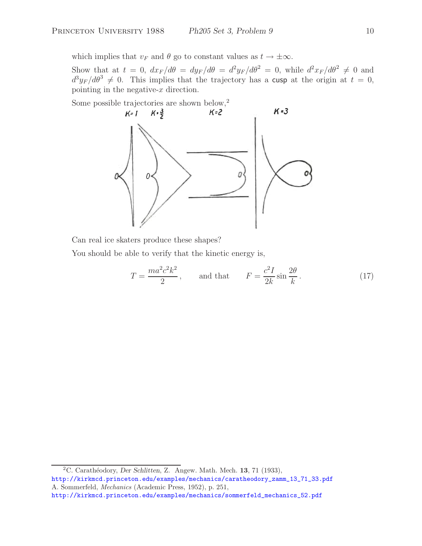which implies that  $v_F$  and  $\theta$  go to constant values as  $t \to \pm \infty$ .

Show that at  $t = 0$ ,  $dx_F/d\theta = dy_F/d\theta = d^2y_F/d\theta^2 = 0$ , while  $d^2x_F/d\theta^2 \neq 0$  and  $d^3y_F/d\theta^3 \neq 0$ . This implies that the trajectory has a cusp at the origin at  $t = 0$ , pointing in the negative- $x$  direction.



Can real ice skaters produce these shapes?

You should be able to verify that the kinetic energy is,

$$
T = \frac{ma^2c^2k^2}{2}, \qquad \text{and that} \qquad F = \frac{c^2I}{2k}\sin\frac{2\theta}{k}.
$$
 (17)

<sup>2</sup>C. Carath´eodory, *Der Schlitten*, Z. Angew. Math. Mech. **<sup>13</sup>**, 71 (1933), http://kirkmcd.princeton.edu/examples/mechanics/caratheodory\_zamm\_13\_71\_33.pdf A. Sommerfeld, *Mechanics* (Academic Press, 1952), p. 251, http://kirkmcd.princeton.edu/examples/mechanics/sommerfeld\_mechanics\_52.pdf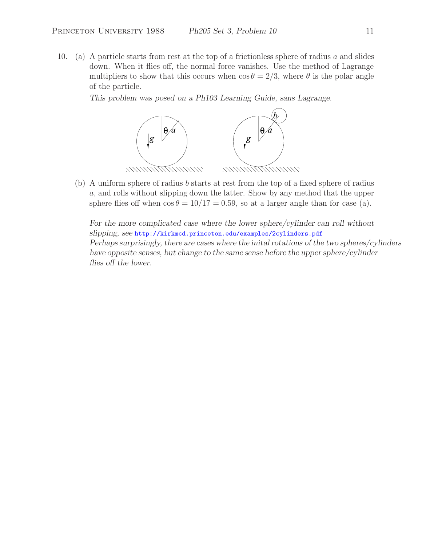10. (a) A particle starts from rest at the top of a frictionless sphere of radius  $a$  and slides down. When it flies off, the normal force vanishes. Use the method of Lagrange multipliers to show that this occurs when  $\cos \theta = 2/3$ , where  $\theta$  is the polar angle of the particle.

*This problem was posed on a Ph103 Learning Guide, sans Lagrange.*



(b) A uniform sphere of radius b starts at rest from the top of a fixed sphere of radius a, and rolls without slipping down the latter. Show by any method that the upper sphere flies off when  $\cos \theta = 10/17 = 0.59$ , so at a larger angle than for case (a).

*For the more complicated case where the lower sphere/cylinder can roll without slipping, see* http://kirkmcd.princeton.edu/examples/2cylinders.pdf *Perhaps surprisingly, there are cases where the inital rotations of the two spheres/cylinders have opposite senses, but change to the same sense before the upper sphere/cylinder flies off the lower.*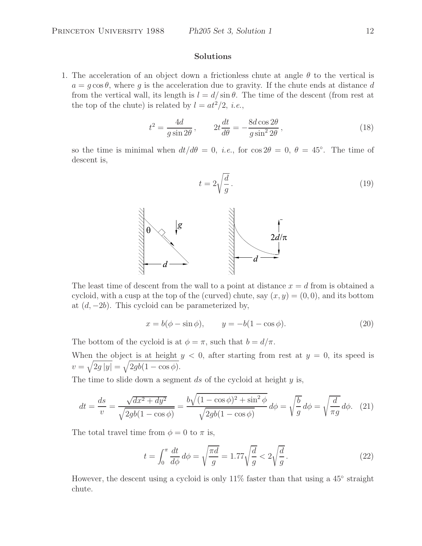### **Solutions**

1. The acceleration of an object down a frictionless chute at angle  $\theta$  to the vertical is  $a = g \cos \theta$ , where g is the acceleration due to gravity. If the chute ends at distance d from the vertical wall, its length is  $l = d/\sin\theta$ . The time of the descent (from rest at the top of the chute) is related by  $l = at^2/2$ , *i.e.*,

$$
t^2 = \frac{4d}{g\sin 2\theta}, \qquad 2t\frac{dt}{d\theta} = -\frac{8d\cos 2\theta}{g\sin^2 2\theta},\tag{18}
$$

so the time is minimal when  $dt/d\theta = 0$ , *i.e.*, for  $\cos 2\theta = 0$ ,  $\theta = 45^\circ$ . The time of descent is,

$$
t = 2\sqrt{\frac{d}{g}}.\t(19)
$$



The least time of descent from the wall to a point at distance  $x = d$  from is obtained a cycloid, with a cusp at the top of the (curved) chute, say  $(x, y) = (0, 0)$ , and its bottom at  $(d, -2b)$ . This cycloid can be parameterized by,

$$
x = b(\phi - \sin \phi), \qquad y = -b(1 - \cos \phi). \tag{20}
$$

The bottom of the cycloid is at  $\phi = \pi$ , such that  $b = d/\pi$ .

When the object is at height  $y < 0$ , after starting from rest at  $y = 0$ , its speed is  $v = \sqrt{2g|y|} = \sqrt{2gb(1 - \cos \phi)}.$ 

The time to slide down a segment ds of the cycloid at height  $y$  is,

$$
dt = \frac{ds}{v} = \frac{\sqrt{dx^2 + dy^2}}{\sqrt{2gb(1 - \cos\phi)}} = \frac{b\sqrt{(1 - \cos\phi)^2 + \sin^2\phi}}{\sqrt{2gb(1 - \cos\phi)}} d\phi = \sqrt{\frac{b}{g}} d\phi = \sqrt{\frac{d}{\pi g}} d\phi. \tag{21}
$$

The total travel time from  $\phi = 0$  to  $\pi$  is,

$$
t = \int_0^\pi \frac{dt}{d\phi} d\phi = \sqrt{\frac{\pi d}{g}} = 1.77\sqrt{\frac{d}{g}} < 2\sqrt{\frac{d}{g}}.
$$
\n
$$
(22)
$$

However, the descent using a cycloid is only 11% faster than that using a 45◦ straight chute.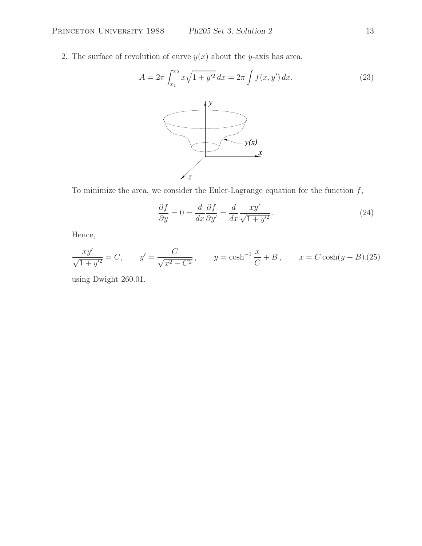2. The surface of revolution of curve  $y(x)$  about the y-axis has area,

$$
A = 2\pi \int_{x_1}^{x_2} x\sqrt{1 + y'^2} \, dx = 2\pi \int f(x, y') \, dx. \tag{23}
$$



To minimize the area, we consider the Euler-Lagrange equation for the function  $f$ ,

$$
\frac{\partial f}{\partial y} = 0 = \frac{d}{dx} \frac{\partial f}{\partial y'} = \frac{d}{dx} \frac{xy'}{\sqrt{1 + y'^2}}.
$$
\n(24)

Hence,

$$
\frac{xy'}{\sqrt{1+y'^2}} = C, \qquad y' = \frac{C}{\sqrt{x^2 - C^2}}, \qquad y = \cosh^{-1}\frac{x}{C} + B, \qquad x = C\cosh(y - B),(25)
$$

using Dwight 260.01.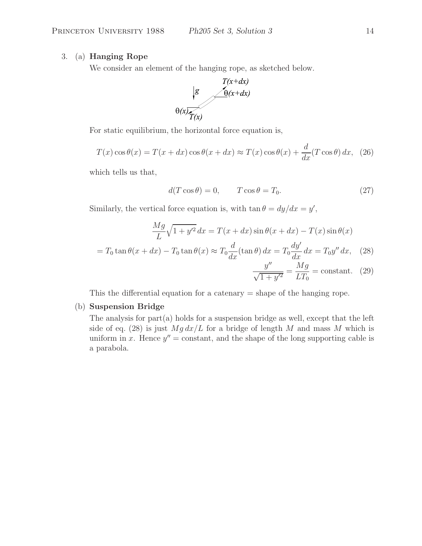## 3. (a) **Hanging Rope**

We consider an element of the hanging rope, as sketched below.



For static equilibrium, the horizontal force equation is,

$$
T(x)\cos\theta(x) = T(x+dx)\cos\theta(x+dx) \approx T(x)\cos\theta(x) + \frac{d}{dx}(T\cos\theta) dx, (26)
$$

which tells us that,

$$
d(T\cos\theta) = 0, \qquad T\cos\theta = T_0. \tag{27}
$$

Similarly, the vertical force equation is, with  $\tan \theta = dy/dx = y'$ ,

$$
\frac{Mg}{L}\sqrt{1+y'^2}\,dx = T(x+dx)\sin\theta(x+dx) - T(x)\sin\theta(x)
$$

$$
= T_0\tan\theta(x+dx) - T_0\tan\theta(x) \approx T_0\frac{d}{dx}(\tan\theta)\,dx = T_0\frac{dy'}{dx}\,dx = T_0y''\,dx,\tag{28}
$$

$$
+ dx) - T_0 \tan \theta(x) \approx T_0 \frac{d}{dx} (\tan \theta) dx = T_0 \frac{dy}{dx} dx = T_0 y'' dx, \quad (28)
$$

$$
\frac{y''}{\sqrt{1+y'^2}} = \frac{Mg}{LT_0} = \text{constant.} \quad (29)
$$

This the differential equation for a catenary  $=$  shape of the hanging rope.

## (b) **Suspension Bridge**

The analysis for part(a) holds for a suspension bridge as well, except that the left side of eq. (28) is just  $Mg dx/L$  for a bridge of length M and mass M which is uniform in x. Hence  $y'' = constant$ , and the shape of the long supporting cable is a parabola.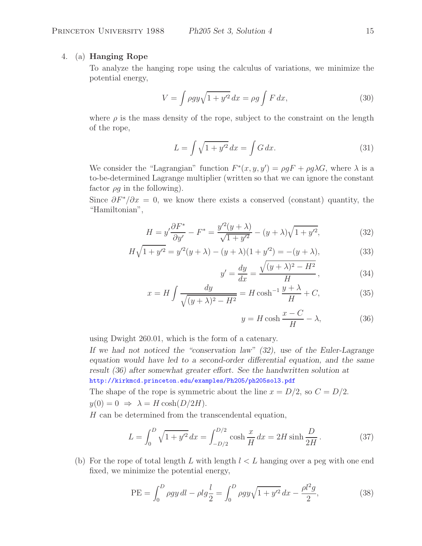## 4. (a) **Hanging Rope**

To analyze the hanging rope using the calculus of variations, we minimize the potential energy,

$$
V = \int \rho g y \sqrt{1 + y'^2} \, dx = \rho g \int F \, dx,\tag{30}
$$

where  $\rho$  is the mass density of the rope, subject to the constraint on the length of the rope,

$$
L = \int \sqrt{1 + y'^2} \, dx = \int G \, dx. \tag{31}
$$

We consider the "Lagrangian" function  $F^*(x, y, y') = \rho g F + \rho g \lambda G$ , where  $\lambda$  is a to-be-determined Lagrange multiplier (written so that we can ignore the constant factor  $\rho g$  in the following).

Since  $\partial F^*/\partial x = 0$ , we know there exists a conserved (constant) quantity, the "Hamiltonian",

$$
H = y'\frac{\partial F^*}{\partial y'} - F^* = \frac{y'^2(y+\lambda)}{\sqrt{1+y'^2}} - (y+\lambda)\sqrt{1+y'^2},\tag{32}
$$

$$
H\sqrt{1+y'^2} = y'^2(y+\lambda) - (y+\lambda)(1+y'^2) = -(y+\lambda),\tag{33}
$$

$$
y' = \frac{dy}{dx} = \frac{\sqrt{(y+\lambda)^2 - H^2}}{H},\tag{34}
$$

$$
x = H \int \frac{dy}{\sqrt{(y+\lambda)^2 - H^2}} = H \cosh^{-1} \frac{y+\lambda}{H} + C,\tag{35}
$$

$$
y = H \cosh \frac{x - C}{H} - \lambda,\tag{36}
$$

using Dwight 260.01, which is the form of a catenary.

*If we had not noticed the "conservation law" (32), use of the Euler-Lagrange equation would have led to a second-order differential equation, and the same result (36) after somewhat greater effort. See the handwritten solution at* http://kirkmcd.princeton.edu/examples/Ph205/ph205sol3.pdf

The shape of the rope is symmetric about the line  $x = D/2$ , so  $C = D/2$ .  $y(0) = 0 \Rightarrow \lambda = H \cosh(D/2H).$ 

 $H$  can be determined from the transcendental equation,

$$
L = \int_0^D \sqrt{1 + y'^2} \, dx = \int_{-D/2}^{D/2} \cosh \frac{x}{H} \, dx = 2H \sinh \frac{D}{2H} \,. \tag{37}
$$

(b) For the rope of total length L with length  $l < L$  hanging over a peg with one end fixed, we minimize the potential energy,

PE = 
$$
\int_0^D \rho gy \, dl - \rho l g \frac{l}{2} = \int_0^D \rho gy \sqrt{1 + y'^2} \, dx - \frac{\rho l^2 g}{2},
$$
 (38)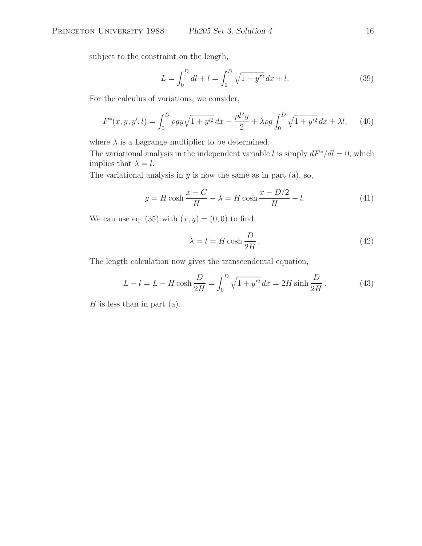subject to the constraint on the length,

$$
L = \int_0^D dl + l = \int_0^D \sqrt{1 + y'^2} \, dx + l. \tag{39}
$$

For the calculus of variations, we consider,

$$
F^*(x, y, y', l) = \int_0^D \rho g y \sqrt{1 + y'^2} \, dx - \frac{\rho l^2 g}{2} + \lambda \rho g \int_0^D \sqrt{1 + y'^2} \, dx + \lambda l,\qquad(40)
$$

where  $\lambda$  is a Lagrange multiplier to be determined.

The variational analysis in the independent variable l is simply  $dF^* / dl = 0$ , which implies that  $\lambda = l$ .

The variational analysis in  $y$  is now the same as in part (a), so,

$$
y = H \cosh \frac{x - C}{H} - \lambda = H \cosh \frac{x - D/2}{H} - l. \tag{41}
$$

We can use eq. (35) with  $(x, y) = (0, 0)$  to find,

$$
\lambda = l = H \cosh \frac{D}{2H} \,. \tag{42}
$$

The length calculation now gives the transcendental equation,

$$
L - l = L - H \cosh \frac{D}{2H} = \int_0^D \sqrt{1 + y'^2} \, dx = 2H \sinh \frac{D}{2H} \,. \tag{43}
$$

 $H$  is less than in part (a).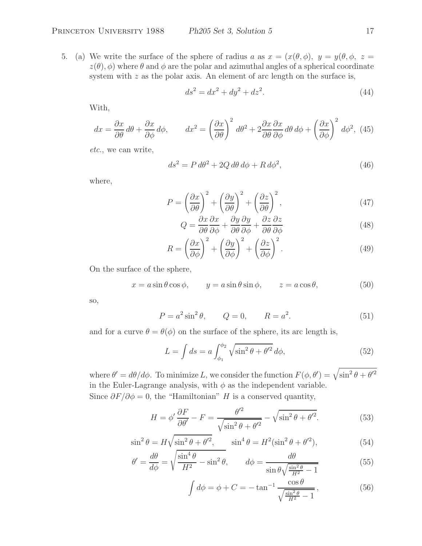5. (a) We write the surface of the sphere of radius a as  $x = (x(\theta, \phi), y = y(\theta, \phi, z =$  $z(\theta), \phi$ ) where  $\theta$  and  $\phi$  are the polar and azimuthal angles of a spherical coordinate system with  $z$  as the polar axis. An element of arc length on the surface is,

$$
ds^2 = dx^2 + dy^2 + dz^2.
$$
 (44)

With,

$$
dx = \frac{\partial x}{\partial \theta} d\theta + \frac{\partial x}{\partial \phi} d\phi, \qquad dx^2 = \left(\frac{\partial x}{\partial \theta}\right)^2 d\theta^2 + 2\frac{\partial x}{\partial \theta} \frac{\partial x}{\partial \phi} d\theta d\phi + \left(\frac{\partial x}{\partial \phi}\right)^2 d\phi^2, \tag{45}
$$

*etc.*, we can write,

$$
ds^2 = P d\theta^2 + 2Q d\theta d\phi + R d\phi^2, \qquad (46)
$$

where,

$$
P = \left(\frac{\partial x}{\partial \theta}\right)^2 + \left(\frac{\partial y}{\partial \theta}\right)^2 + \left(\frac{\partial z}{\partial \theta}\right)^2,\tag{47}
$$

$$
Q = \frac{\partial x}{\partial \theta} \frac{\partial x}{\partial \phi} + \frac{\partial y}{\partial \theta} \frac{\partial y}{\partial \phi} + \frac{\partial z}{\partial \theta} \frac{\partial z}{\partial \phi}
$$
(48)

$$
R = \left(\frac{\partial x}{\partial \phi}\right)^2 + \left(\frac{\partial y}{\partial \phi}\right)^2 + \left(\frac{\partial z}{\partial \phi}\right)^2.
$$
 (49)

On the surface of the sphere,

$$
x = a\sin\theta\cos\phi, \qquad y = a\sin\theta\sin\phi, \qquad z = a\cos\theta,\tag{50}
$$

so,

$$
P = a^2 \sin^2 \theta
$$
,  $Q = 0$ ,  $R = a^2$ . (51)

and for a curve  $\theta = \theta(\phi)$  on the surface of the sphere, its arc length is,

$$
L = \int ds = a \int_{\phi_1}^{\phi_2} \sqrt{\sin^2 \theta + \theta'^2} \, d\phi,\tag{52}
$$

where  $\theta' = d\theta/d\phi$ . To minimize L, we consider the function  $F(\phi, \theta') = \sqrt{\sin^2 \theta + \theta'^2}$ in the Euler-Lagrange analysis, with  $\phi$  as the independent variable. Since  $\partial F/\partial \phi = 0$ , the "Hamiltonian" H is a conserved quantity,

$$
H = \phi' \frac{\partial F}{\partial \theta'} - F = \frac{\theta'^2}{\sqrt{\sin^2 \theta + \theta'^2}} - \sqrt{\sin^2 \theta + \theta'^2}.
$$
 (53)

$$
\sin^2 \theta = H \sqrt{\sin^2 \theta + \theta'^2}, \qquad \sin^4 \theta = H^2 (\sin^2 \theta + \theta'^2), \tag{54}
$$

$$
\theta' = \frac{d\theta}{d\phi} = \sqrt{\frac{\sin^4 \theta}{H^2} - \sin^2 \theta}, \qquad d\phi = \frac{d\theta}{\sin \theta \sqrt{\frac{\sin^2 \theta}{H^2} - 1}} \tag{55}
$$

$$
\int d\phi = \phi + C = -\tan^{-1} \frac{\cos \theta}{\sqrt{\frac{\sin^2 \theta}{H^2} - 1}},
$$
\n(56)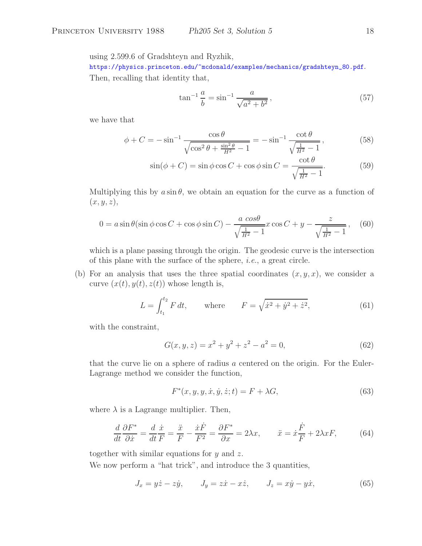using 2.599.6 of Gradshteyn and Ryzhik,

https://physics.princeton.edu/~mcdonald/examples/mechanics/gradshteyn\_80.pdf.

Then, recalling that identity that,

$$
\tan^{-1}\frac{a}{b} = \sin^{-1}\frac{a}{\sqrt{a^2 + b^2}},\tag{57}
$$

we have that

$$
\phi + C = -\sin^{-1}\frac{\cos\theta}{\sqrt{\cos^2\theta + \frac{\sin^2\theta}{H^2} - 1}} = -\sin^{-1}\frac{\cot\theta}{\sqrt{\frac{1}{H^2} - 1}},
$$
(58)

$$
\sin(\phi + C) = \sin\phi\cos C + \cos\phi\sin C = \frac{\cot\theta}{\sqrt{\frac{1}{H^2} - 1}}.\tag{59}
$$

Multiplying this by  $a \sin \theta$ , we obtain an equation for the curve as a function of  $(x, y, z),$ 

$$
0 = a \sin \theta (\sin \phi \cos C + \cos \phi \sin C) - \frac{a \cos \theta}{\sqrt{\frac{1}{H^2} - 1}} x \cos C + y - \frac{z}{\sqrt{\frac{1}{H^2} - 1}},
$$
(60)

which is a plane passing through the origin. The geodesic curve is the intersection of this plane with the surface of the sphere, *i.e.*, a great circle.

(b) For an analysis that uses the three spatial coordinates  $(x, y, x)$ , we consider a curve  $(x(t), y(t), z(t))$  whose length is,

$$
L = \int_{t_1}^{t_2} F dt, \quad \text{where} \quad F = \sqrt{\dot{x}^2 + \dot{y}^2 + \dot{z}^2}, \tag{61}
$$

with the constraint,

$$
G(x, y, z) = x2 + y2 + z2 - a2 = 0,
$$
 (62)

that the curve lie on a sphere of radius a centered on the origin. For the Euler-Lagrange method we consider the function,

$$
F^*(x, y, y, \dot{x}, \dot{y}, \dot{z}; t) = F + \lambda G,\tag{63}
$$

where  $\lambda$  is a Lagrange multiplier. Then,

$$
\frac{d}{dt}\frac{\partial F^*}{\partial \dot{x}} = \frac{d}{dt}\frac{\dot{x}}{F} = \frac{\ddot{x}}{F} - \frac{\dot{x}\dot{F}}{F^2} = \frac{\partial F^*}{\partial x} = 2\lambda x, \qquad \ddot{x} = \dot{x}\frac{\dot{F}}{F} + 2\lambda x F,\tag{64}
$$

together with similar equations for  $y$  and  $z$ .

We now perform a "hat trick", and introduce the 3 quantities,

$$
J_x = y\dot{z} - z\dot{y}, \qquad J_y = z\dot{x} - x\dot{z}, \qquad J_z = x\dot{y} - y\dot{x}, \tag{65}
$$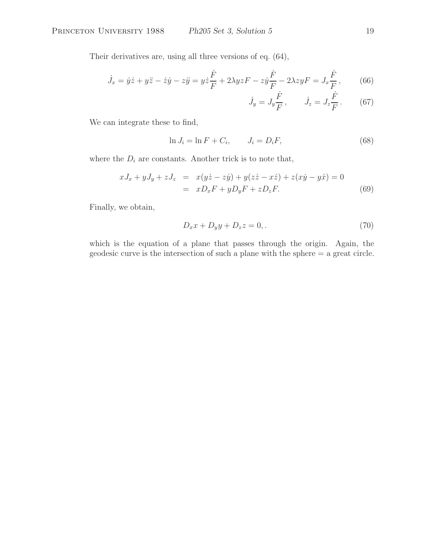Their derivatives are, using all three versions of eq. (64),

$$
\dot{J}_x = \dot{y}\dot{z} + y\ddot{z} - \dot{z}\dot{y} - z\ddot{y} = y\dot{z}\frac{\dot{F}}{F} + 2\lambda yzF - z\dot{y}\frac{\dot{F}}{F} - 2\lambda zyF = J_x\frac{\dot{F}}{F},
$$
 (66)

$$
\dot{J}_y = J_y \frac{\dot{F}}{F}, \qquad \dot{J}_z = J_z \frac{\dot{F}}{F}.
$$
 (67)

We can integrate these to find,

$$
\ln J_i = \ln F + C_i, \qquad J_i = D_i F,\tag{68}
$$

where the  $D_i$  are constants. Another trick is to note that,

$$
xJ_x + yJ_y + zJ_z = x(y\dot{z} - z\dot{y}) + y(z\dot{z} - x\dot{z}) + z(x\dot{y} - y\dot{x}) = 0
$$
  

$$
= xD_xF + yD_yF + zD_zF.
$$
 (69)

Finally, we obtain,

$$
D_x x + D_y y + D_z z = 0,\tag{70}
$$

which is the equation of a plane that passes through the origin. Again, the geodesic curve is the intersection of such a plane with the sphere = a great circle.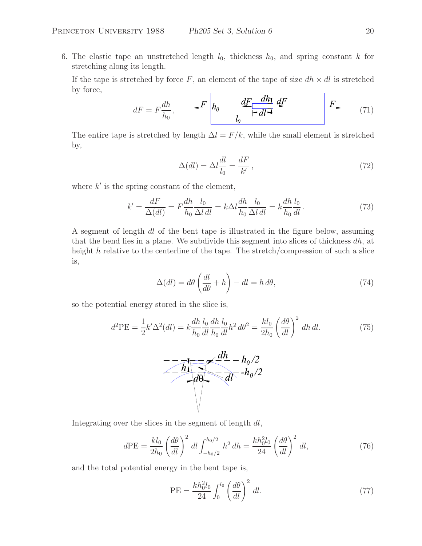6. The elastic tape an unstretched length  $l_0$ , thickness  $h_0$ , and spring constant k for stretching along its length.

If the tape is stretched by force F, an element of the tape of size  $dh \times dl$  is stretched by force,

$$
dF = F\frac{dh}{h_0}, \qquad \underbrace{\qquad F}{\qquad h_0} \qquad \underbrace{\qquad dF}{\qquad \qquad -d\lceil \qquad d\rceil} \qquad \underbrace{\qquad F}{\qquad \qquad F} \tag{71}
$$

The entire tape is stretched by length  $\Delta l = F/k$ , while the small element is stretched by,

$$
\Delta(dl) = \Delta l \frac{dl}{l_0} = \frac{dF}{k'},\tag{72}
$$

where  $k'$  is the spring constant of the element,

$$
k' = \frac{dF}{\Delta(dl)} = F \frac{dh}{h_0} \frac{l_0}{\Delta l \, dl} = k \Delta l \frac{dh}{h_0} \frac{l_0}{\Delta l \, dl} = k \frac{dh}{h_0} \frac{l_0}{dl} \,. \tag{73}
$$

A segment of length dl of the bent tape is illustrated in the figure below, assuming that the bend lies in a plane. We subdivide this segment into slices of thickness  $dh$ , at height h relative to the centerline of the tape. The stretch/compression of such a slice is,

$$
\Delta(dl) = d\theta \left(\frac{dl}{d\theta} + h\right) - dl = h d\theta,\tag{74}
$$

so the potential energy stored in the slice is,

$$
d^2 \text{PE} = \frac{1}{2} k' \Delta^2 (dl) = k \frac{dh}{h_0} \frac{l_0}{dl} \frac{dh}{h_0} \frac{l_0}{dl} h^2 d\theta^2 = \frac{kl_0}{2h_0} \left(\frac{d\theta}{dl}\right)^2 dh \, dl. \tag{75}
$$



Integrating over the slices in the segment of length dl,

$$
d\text{PE} = \frac{kl_0}{2h_0} \left(\frac{d\theta}{dl}\right)^2 dl \int_{-h_0/2}^{h_0/2} h^2 dh = \frac{kh_0^2 l_0}{24} \left(\frac{d\theta}{dl}\right)^2 dl,\tag{76}
$$

and the total potential energy in the bent tape is,

$$
PE = \frac{k h_0^2 l_0}{24} \int_0^{l_0} \left(\frac{d\theta}{dl}\right)^2 dl. \tag{77}
$$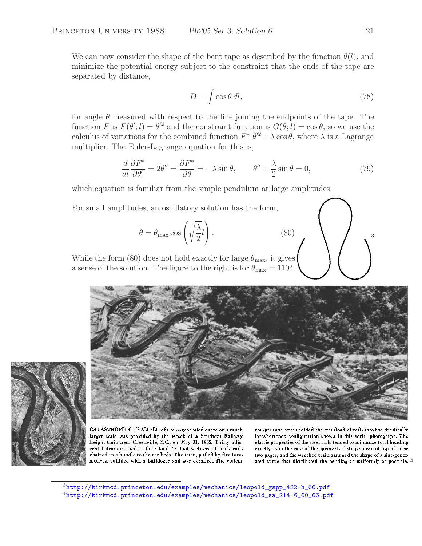We can now consider the shape of the bent tape as described by the function  $\theta(l)$ , and minimize the potential energy subject to the constraint that the ends of the tape are separated by distance,

$$
D = \int \cos \theta \, dl,\tag{78}
$$

for angle  $\theta$  measured with respect to the line joining the endpoints of the tape. The function F is  $F(\theta'; l) = \theta'^2$  and the constraint function is  $G(\theta; l) = \cos \theta$ , so we use the calculus of variations for the combined function  $F^* \theta'^2 + \lambda \cos \theta$ , where  $\lambda$  is a Lagrange multiplier. The Euler-Lagrange equation for this is,

$$
\frac{d}{dl}\frac{\partial F^*}{\partial \theta'} = 2\theta'' = \frac{\partial F^*}{\partial \theta} = -\lambda \sin \theta, \qquad \theta'' + \frac{\lambda}{2}\sin \theta = 0,\tag{79}
$$

which equation is familiar from the simple pendulum at large amplitudes.

For small amplitudes, an oscillatory solution has the form,

$$
\theta = \theta_{\text{max}} \cos \left( \sqrt{\frac{\lambda}{2}} l \right). \tag{80}
$$

While the form (80) does not hold exactly for large  $\theta_{\text{max}}$ , it gives a sense of the solution. The figure to the right is for  $\theta_{\text{max}} = 110^{\circ}$ .





CATASTROPHIC EXAMPLE of a sine-generated curve on a much larger scale was provided by the wreck of a Southern Railway freight train near Greenville, S.C., on May 31, 1965. Thirty adjacent flatears carried as their load 700-foot sections of track rails chained in a bundle to the car beds. The train, pulled by five locomotives, collided with a bulldozer and was derailed. The violent

compressive strain folded the trainload of rails into the drastically foreshortened configuration shown in this aerial photograph. The elastic properties of the steel rails tended to minimize total bending exactly as in the case of the spring-steel strip shown at top of these two pages, and the wrecked train assumed the shape of a sine-generated curve that distributed the bending as uniformly as possible. 4

<sup>3</sup>http://kirkmcd.princeton.edu/examples/mechanics/leopold\_gspp\_422-h\_66.pdf <sup>4</sup>http://kirkmcd.princeton.edu/examples/mechanics/leopold\_sa\_214-6\_60\_66.pdf 3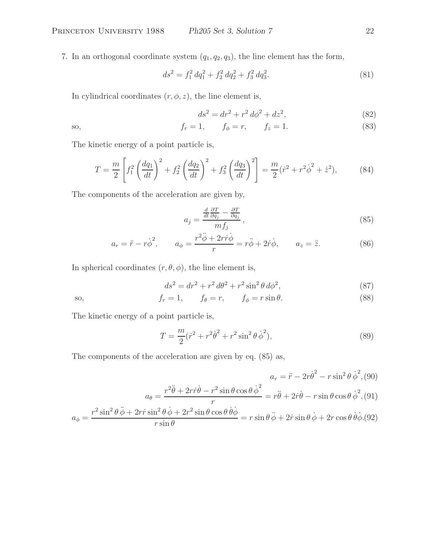7. In an orthogonal coordinate system  $(q_1, q_2, q_3)$ , the line element has the form,

$$
ds^2 = f_1^2 dq_1^2 + f_2^2 dq_2^2 + f_3^2 dq_3^2.
$$
\n(81)

In cylindrical coordinates  $(r, \phi, z)$ , the line element is,

$$
ds^2 = dr^2 + r^2 d\phi^2 + dz^2,
$$
\n(82)

so, 
$$
f_r = 1
$$
,  $f_{\phi} = r$ ,  $f_z = 1$ . (83)

The kinetic energy of a point particle is,

$$
T = \frac{m}{2} \left[ f_1^2 \left( \frac{dq_1}{dt} \right)^2 + f_2^2 \left( \frac{dq_2}{dt} \right)^2 + f_3^2 \left( \frac{dq_3}{dt} \right)^2 \right] = \frac{m}{2} (\dot{r}^2 + r^2 \dot{\phi}^2 + \dot{z}^2), \tag{84}
$$

The components of the acceleration are given by,

$$
a_j = \frac{\frac{d}{dt} \frac{\partial T}{\partial q_j} - \frac{\partial T}{\partial q_j}}{m f_j},\tag{85}
$$

$$
a_r = \ddot{r} - r\dot{\phi}^2, \qquad a_\phi = \frac{r^2 \ddot{\phi} + 2r \dot{r} \dot{\phi}}{r} = r\ddot{\phi} + 2\dot{r}\dot{\phi}, \qquad a_z = \ddot{z}.\tag{86}
$$

In spherical coordinates  $(r, \theta, \phi)$ , the line element is,

$$
ds^{2} = dr^{2} + r^{2} d\theta^{2} + r^{2} \sin^{2} \theta d\phi^{2},
$$
\n(87)

so, 
$$
f_r = 1
$$
,  $f_\theta = r$ ,  $f_\phi = r \sin \theta$ . (88)

The kinetic energy of a point particle is,

$$
T = \frac{m}{2}(\dot{r}^2 + r^2\dot{\theta}^2 + r^2\sin^2\theta\,\dot{\phi}^2),\tag{89}
$$

The components of the acceleration are given by eq. (85) as,

$$
a_r = \ddot{r} - 2r\dot{\theta}^2 - r\sin^2\theta \dot{\phi}^2, (90)
$$

$$
a_\theta = \frac{r^2\ddot{\theta} + 2r\dot{r}\dot{\theta} - r^2\sin\theta\cos\theta \dot{\phi}^2}{r} = r\ddot{\theta} + 2\dot{r}\dot{\theta} - r\sin\theta\cos\theta \dot{\phi}^2, (91)
$$

$$
a_\phi = \frac{r^2\sin^2\theta \dot{\phi} + 2r\dot{r}\sin^2\theta \dot{\phi} + 2r^2\sin\theta\cos\theta \dot{\theta}\dot{\phi}}{r\sin\theta} = r\sin\theta \ddot{\phi} + 2\dot{r}\sin\theta \dot{\phi} + 2r\cos\theta \dot{\theta}\dot{\phi}. (92)
$$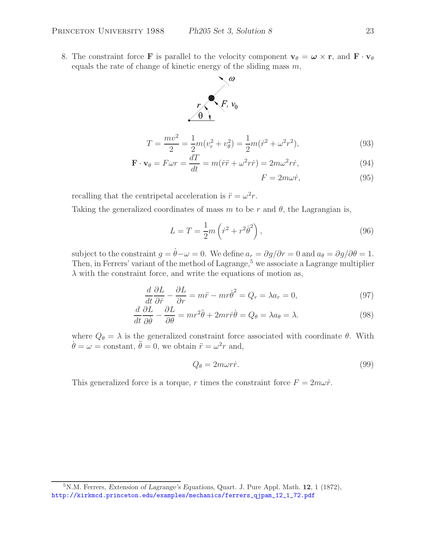8. The constraint force **F** is parallel to the velocity component  $\mathbf{v}_{\theta} = \boldsymbol{\omega} \times \mathbf{r}$ , and  $\mathbf{F} \cdot \mathbf{v}_{\theta}$ equals the rate of change of kinetic energy of the sliding mass  $m$ ,



$$
T = \frac{mv^2}{2} = \frac{1}{2}m(v_r^2 + v_\theta^2) = \frac{1}{2}m(\dot{r}^2 + \omega^2 r^2),\tag{93}
$$

$$
\mathbf{F} \cdot \mathbf{v}_{\theta} = F \omega r = \frac{dT}{dt} = m(\dot{r}\ddot{r} + \omega^2 r\dot{r}) = 2m\omega^2 r\dot{r},\qquad(94)
$$

 $F = 2m\omega \dot{r},$ (95)

recalling that the centripetal acceleration is  $\ddot{r} = \omega^2 r$ .

Taking the generalized coordinates of mass m to be r and  $\theta$ , the Lagrangian is,

$$
L = T = \frac{1}{2}m\left(\dot{r}^2 + r^2\dot{\theta}^2\right),
$$
\n(96)

subject to the constraint  $g = \dot{\theta} - \omega = 0$ . We define  $a_r = \partial g / \partial r = 0$  and  $a_\theta = \partial g / \partial \theta = 1$ . Then, in Ferrers' variant of the method of Lagrange,<sup>5</sup> we associate a Lagrange multiplier  $\lambda$  with the constraint force, and write the equations of motion as,

$$
\frac{d}{dt}\frac{\partial L}{\partial \dot{r}} - \frac{\partial L}{\partial r} = m\ddot{r} - mr\dot{\theta}^2 = Q_r = \lambda a_r = 0,
$$
\n(97)

$$
\frac{d}{dt}\frac{\partial L}{\partial \dot{\theta}} - \frac{\partial L}{\partial \theta} = mr^2 \ddot{\theta} + 2mr\dot{r}\dot{\theta} = Q_\theta = \lambda a_\theta = \lambda.
$$
\n(98)

where  $Q_{\theta} = \lambda$  is the generalized constraint force associated with coordinate  $\theta$ . With  $\dot{\theta} = \omega = \text{constant}, \ddot{\theta} = 0$ , we obtain  $\ddot{r} = \omega^2 r$  and,

$$
Q_{\theta} = 2m\omega r \dot{r}.\tag{99}
$$

This generalized force is a torque, r times the constraint force  $F = 2m\omega \dot{r}$ .

<sup>5</sup>N.M. Ferrers, *Extension of Lagrange's Equations*, Quart. J. Pure Appl. Math. **<sup>12</sup>**, 1 (1872), http://kirkmcd.princeton.edu/examples/mechanics/ferrers\_qjpam\_12\_1\_72.pdf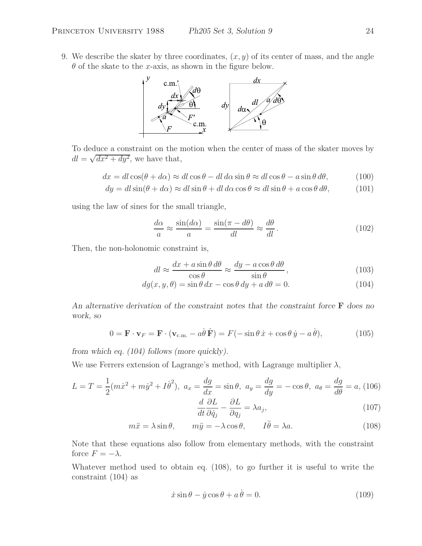9. We describe the skater by three coordinates,  $(x, y)$  of its center of mass, and the angle  $\theta$  of the skate to the x-axis, as shown in the figure below.



To deduce a constraint on the motion when the center of mass of the skater moves by  $dl = \sqrt{dx^2 + dy^2}$ , we have that,

$$
dx = dl\cos(\theta + d\alpha) \approx dl\cos\theta - dl\,d\alpha\sin\theta \approx dl\cos\theta - a\sin\theta\,d\theta,\tag{100}
$$

$$
dy = dl \sin(\theta + d\alpha) \approx dl \sin \theta + dl \, d\alpha \cos \theta \approx dl \sin \theta + a \cos \theta \, d\theta,\tag{101}
$$

using the law of sines for the small triangle,

$$
\frac{d\alpha}{a} \approx \frac{\sin(d\alpha)}{a} = \frac{\sin(\pi - d\theta)}{dl} \approx \frac{d\theta}{dl} \,. \tag{102}
$$

Then, the non-holonomic constraint is,

$$
dl \approx \frac{dx + a\sin\theta \, d\theta}{\cos\theta} \approx \frac{dy - a\cos\theta \, d\theta}{\sin\theta},\tag{103}
$$

$$
dg(x, y, \theta) = \sin \theta \, dx - \cos \theta \, dy + a \, d\theta = 0. \tag{104}
$$

*An alternative derivation of the constraint notes that the constraint force* **F** *does no work, so*

$$
0 = \mathbf{F} \cdot \mathbf{v}_F = \mathbf{F} \cdot (\mathbf{v}_{\text{c.m.}} - a\dot{\theta}\,\hat{\mathbf{F}}) = F(-\sin\theta\,\dot{x} + \cos\theta\,\dot{y} - a\,\dot{\theta}),\tag{105}
$$

*from which eq. (104) follows (more quickly).*

We use Ferrers extension of Lagrange's method, with Lagrange multiplier  $\lambda$ ,

$$
L = T = \frac{1}{2}(m\dot{x}^2 + m\dot{y}^2 + I\dot{\theta}^2), \ a_x = \frac{dg}{dx} = \sin\theta, \ a_y = \frac{dg}{dy} = -\cos\theta, \ a_\theta = \frac{dg}{d\theta} = a, (106)
$$

$$
d \ \partial L \qquad \partial L \qquad (107)
$$

$$
\frac{d}{dt}\frac{\partial L}{\partial \dot{q}_j} - \frac{\partial L}{\partial q_j} = \lambda a_j,\tag{107}
$$

$$
m\ddot{x} = \lambda \sin \theta, \qquad m\ddot{y} = -\lambda \cos \theta, \qquad I\ddot{\theta} = \lambda a. \tag{108}
$$

Note that these equations also follow from elementary methods, with the constraint force  $F = -\lambda$ .

Whatever method used to obtain eq. (108), to go further it is useful to write the constraint (104) as

$$
\dot{x}\sin\theta - \dot{y}\cos\theta + a\dot{\theta} = 0.
$$
 (109)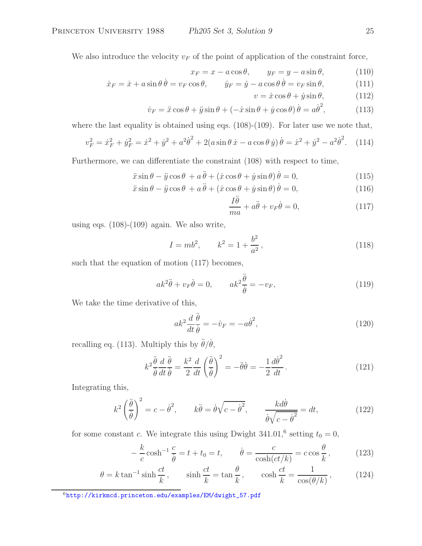We also introduce the velocity  $v_F$  of the point of application of the constraint force,

$$
x_F = x - a\cos\theta, \qquad y_F = y - a\sin\theta,\tag{110}
$$

$$
\dot{x}_F = \dot{x} + a\sin\theta \,\dot{\theta} = v_F \cos\theta, \qquad \dot{y}_F = \dot{y} - a\cos\theta \,\dot{\theta} = v_F \sin\theta,\tag{111}
$$

$$
v = \dot{x}\cos\theta + \dot{y}\sin\theta, \qquad (112)
$$

$$
\dot{v}_F = \ddot{x}\cos\theta + \ddot{y}\sin\theta + (-\dot{x}\sin\theta + \dot{y}\cos\theta)\dot{\theta} = a\dot{\theta}^2,\tag{113}
$$

where the last equality is obtained using eqs. (108)-(109). For later use we note that,

$$
v_F^2 = \dot{x}_F^2 + \dot{y}_F^2 = \dot{x}^2 + \dot{y}^2 + a^2 \dot{\theta}^2 + 2(a \sin \theta \, \dot{x} - a \cos \theta \, \dot{y}) \, \dot{\theta} = \dot{x}^2 + \dot{y}^2 - a^2 \dot{\theta}^2. \tag{114}
$$

Furthermore, we can differentiate the constraint (108) with respect to time,

$$
\ddot{x}\sin\theta - \ddot{y}\cos\theta + a\ddot{\theta} + (\dot{x}\cos\theta + \dot{y}\sin\theta)\dot{\theta} = 0,
$$
\n(115)

$$
\ddot{x}\sin\theta - \ddot{y}\cos\theta + a\ddot{\theta} + (\dot{x}\cos\theta + \dot{y}\sin\theta)\dot{\theta} = 0,
$$
\n(116)

$$
\frac{I\theta}{ma} + a\ddot{\theta} + v_F \dot{\theta} = 0,
$$
\n(117)

using eqs.  $(108)-(109)$  again. We also write,

$$
I = mb^2, \qquad k^2 = 1 + \frac{b^2}{a^2}, \tag{118}
$$

such that the equation of motion (117) becomes,

$$
ak^2\ddot{\theta} + v_F\dot{\theta} = 0, \qquad ak^2\frac{\ddot{\theta}}{\dot{\theta}} = -v_F,
$$
\n(119)

We take the time derivative of this,

$$
ak^2 \frac{d}{dt} \frac{\ddot{\theta}}{\dot{\theta}} = -\dot{v}_F = -a\dot{\theta}^2,\tag{120}
$$

recalling eq. (113). Multiply this by  $\ddot{\theta}/\dot{\theta}$ ,

$$
k^2 \frac{\ddot{\theta}}{\dot{\theta}} \frac{d}{dt} \frac{\ddot{\theta}}{\dot{\theta}} = \frac{k^2}{2} \frac{d}{dt} \left(\frac{\ddot{\theta}}{\dot{\theta}}\right)^2 = -\ddot{\theta}\dot{\theta} = -\frac{1}{2} \frac{d\dot{\theta}^2}{dt}.
$$
 (121)

Integrating this,

$$
k^2 \left(\frac{\ddot{\theta}}{\dot{\theta}}\right)^2 = c - \dot{\theta}^2, \qquad k\ddot{\theta} = \dot{\theta}\sqrt{c - \dot{\theta}^2}, \qquad \frac{k d\dot{\theta}}{\dot{\theta}\sqrt{c - \dot{\theta}^2}} = dt,\tag{122}
$$

for some constant c. We integrate this using Dwight  $341.01$ ,<sup>6</sup> setting  $t_0 = 0$ ,

$$
-\frac{k}{c}\cosh^{-1}\frac{c}{\dot{\theta}}=t+t_0=t, \qquad \dot{\theta}=\frac{c}{\cosh(ct/k)}=c\cos\frac{\theta}{k},\qquad(123)
$$

$$
\theta = k \tan^{-1} \sinh \frac{ct}{k}, \qquad \sinh \frac{ct}{k} = \tan \frac{\theta}{k}, \qquad \cosh \frac{ct}{k} = \frac{1}{\cos(\theta/k)}, \tag{124}
$$

<sup>6</sup>http://kirkmcd.princeton.edu/examples/EM/dwight\_57.pdf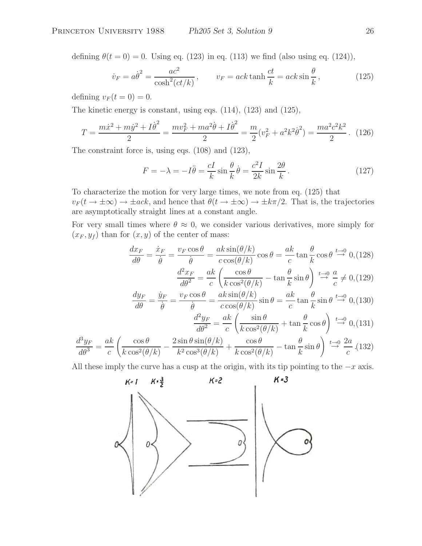defining  $\theta(t=0) = 0$ . Using eq. (123) in eq. (113) we find (also using eq. (124)),

$$
\dot{v}_F = a\dot{\theta}^2 = \frac{ac^2}{\cosh^2(ct/k)}, \qquad v_F = ack \tanh\frac{ct}{k} = ack \sin\frac{\theta}{k}, \qquad (125)
$$

defining  $v_F (t = 0) = 0$ .

The kinetic energy is constant, using eqs. (114), (123) and (125),

$$
T = \frac{m\dot{x}^2 + m\dot{y}^2 + I\dot{\theta}^2}{2} = \frac{mv_F^2 + ma^2\dot{\theta} + I\dot{\theta}^2}{2} = \frac{m}{2}(v_F^2 + a^2k^2\dot{\theta}^2) = \frac{ma^2c^2k^2}{2}.
$$
 (126)

The constraint force is, using eqs. (108) and (123),

$$
F = -\lambda = -I\ddot{\theta} = \frac{cI}{k}\sin\frac{\theta}{k}\dot{\theta} = \frac{c^2I}{2k}\sin\frac{2\theta}{k}.
$$
 (127)

To characterize the motion for very large times, we note from eq. (125) that  $v_F(t \to \pm \infty) \to \pm ack$ , and hence that  $\theta(t \to \pm \infty) \to \pm k\pi/2$ . That is, the trajectories are asymptotically straight lines at a constant angle.

For very small times where  $\theta \approx 0$ , we consider various derivatives, more simply for  $(x_F, y_f)$  than for  $(x, y)$  of the center of mass:

$$
\frac{dx_F}{d\theta} = \frac{\dot{x}_F}{\dot{\theta}} = \frac{v_F \cos \theta}{\dot{\theta}} = \frac{ak \sin(\theta/k)}{c \cos(\theta/k)} \cos \theta = \frac{ak}{c} \tan \frac{\theta}{k} \cos \theta \stackrel{t \to 0}{\to} 0, \text{(128)}
$$

$$
\frac{d^2 x_F}{d\theta^2} = \frac{ak}{c} \left( \frac{\cos \theta}{k \cos^2(\theta/k)} - \tan \frac{\theta}{k} \sin \theta \right) \stackrel{t \to 0}{\to} \frac{a}{c} \neq 0, \text{(129)}
$$

$$
\frac{dy_F}{d\theta} = \frac{\dot{y}_F}{\dot{\theta}} = \frac{v_F \cos \theta}{\dot{\theta}} = \frac{ak \sin(\theta/k)}{c \cos(\theta/k)} \sin \theta = \frac{ak}{c} \tan \frac{\theta}{k} \sin \theta \stackrel{t \to 0}{\to} 0, (130)
$$

$$
\frac{d^2y_F}{d\theta^2} = \frac{ak}{c} \left( \frac{\sin \theta}{k \cos^2(\theta/k)} + \tan \frac{\theta}{k} \cos \theta \right) \stackrel{t \to 0}{\to} 0, (131)
$$

$$
\frac{d^3y_F}{d\theta^3} = \frac{ak}{c} \left( \frac{\cos\theta}{k\cos^2(\theta/k)} - \frac{2\sin\theta\sin(\theta/k)}{k^2\cos^3(\theta/k)} + \frac{\cos\theta}{k\cos^2(\theta/k)} - \tan\frac{\theta}{k}\sin\theta \right) \stackrel{t \to 0}{\to} \frac{2a}{c} \tag{132}
$$

All these imply the curve has a cusp at the origin, with its tip pointing to the  $-x$  axis.

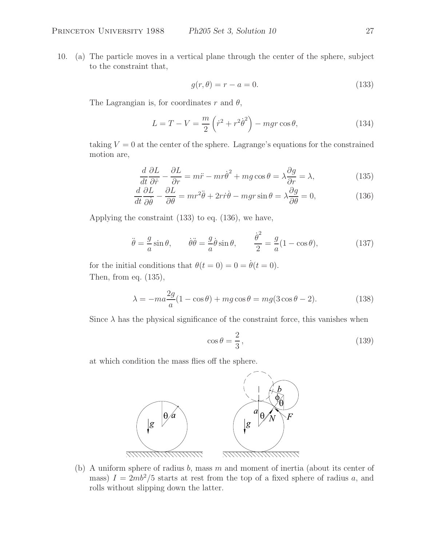10. (a) The particle moves in a vertical plane through the center of the sphere, subject to the constraint that,

$$
g(r,\theta) = r - a = 0.\tag{133}
$$

The Lagrangian is, for coordinates r and  $\theta$ ,

$$
L = T - V = \frac{m}{2} \left( \dot{r}^2 + r^2 \dot{\theta}^2 \right) - mgr \cos \theta, \tag{134}
$$

taking  $V = 0$  at the center of the sphere. Lagrange's equations for the constrained motion are,

$$
\frac{d}{dt}\frac{\partial L}{\partial \dot{r}} - \frac{\partial L}{\partial r} = m\ddot{r} - mr\dot{\theta}^2 + mg\cos\theta = \lambda \frac{\partial g}{\partial r} = \lambda,
$$
\n(135)

$$
\frac{d}{dt}\frac{\partial L}{\partial \dot{\theta}} - \frac{\partial L}{\partial \theta} = mr^2 \ddot{\theta} + 2r\dot{r}\dot{\theta} - mgr\sin\theta = \lambda \frac{\partial g}{\partial \theta} = 0,
$$
\n(136)

Applying the constraint (133) to eq. (136), we have,

$$
\ddot{\theta} = -\frac{g}{a}\sin\theta, \qquad \dot{\theta}\ddot{\theta} = -\frac{g}{a}\dot{\theta}\sin\theta, \qquad \frac{\dot{\theta}^2}{2} = -\frac{g}{a}(1-\cos\theta), \tag{137}
$$

for the initial conditions that  $\theta(t=0) = 0 = \dot{\theta}(t=0)$ . Then, from eq. (135),

$$
\lambda = -ma\frac{2g}{a}(1 - \cos\theta) + mg\cos\theta = mg(3\cos\theta - 2). \tag{138}
$$

Since  $\lambda$  has the physical significance of the constraint force, this vanishes when

$$
\cos \theta = \frac{2}{3},\tag{139}
$$

at which condition the mass flies off the sphere.



(b) A uniform sphere of radius b, mass  $m$  and moment of inertia (about its center of mass)  $I = 2mb^2/5$  starts at rest from the top of a fixed sphere of radius a, and rolls without slipping down the latter.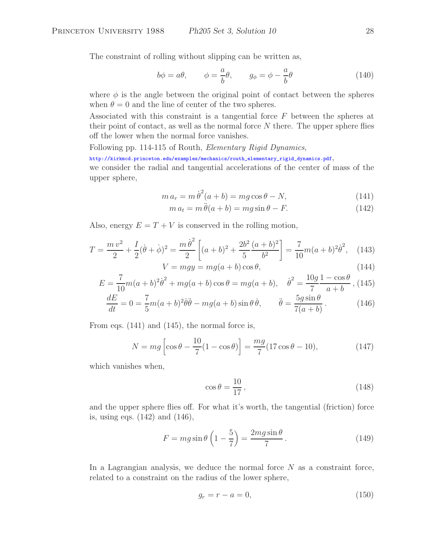The constraint of rolling without slipping can be written as,

$$
b\phi = a\theta, \qquad \phi = \frac{a}{b}\theta, \qquad g_{\phi} = \phi - \frac{a}{b}\theta \tag{140}
$$

where  $\phi$  is the angle between the original point of contact between the spheres when  $\theta = 0$  and the line of center of the two spheres.

Associated with this constraint is a tangential force F between the spheres at their point of contact, as well as the normal force  $N$  there. The upper sphere flies off the lower when the normal force vanishes.

Following pp. 114-115 of Routh, *Elementary Rigid Dynamics*,

http://kirkmcd.princeton.edu/examples/mechanics/routh\_elementary\_rigid\_dynamics.pdf,

we consider the radial and tangential accelerations of the center of mass of the upper sphere,

$$
m a_r = m \dot{\theta}^2 (a+b) = mg \cos \theta - N,\tag{141}
$$

$$
m a_t = m \ddot{\theta}(a+b) = mg \sin \theta - F.
$$
 (142)

Also, energy  $E = T + V$  is conserved in the rolling motion,

$$
T = \frac{m v^2}{2} + \frac{I}{2} (\dot{\theta} + \dot{\phi})^2 = \frac{m \dot{\theta}^2}{2} \left[ (a+b)^2 + \frac{2b^2}{5} \frac{(a+b)^2}{b^2} \right] = \frac{7}{10} m (a+b)^2 \dot{\theta}^2, \quad (143)
$$

$$
V = mgy = mg(a+b)\cos\theta,
$$
\n(144)

$$
E = \frac{7}{10}m(a+b)^{2}\dot{\theta}^{2} + mg(a+b)\cos\theta = mg(a+b), \quad \dot{\theta}^{2} = \frac{10g}{7}\frac{1-\cos\theta}{a+b},
$$
(145)

$$
\frac{dE}{dt} = 0 = \frac{7}{5}m(a+b)^2\dot{\theta}\ddot{\theta} - mg(a+b)\sin\theta\dot{\theta}, \qquad \ddot{\theta} = \frac{5g\sin\theta}{7(a+b)}.
$$
 (146)

From eqs. (141) and (145), the normal force is,

$$
N = mg \left[ \cos \theta - \frac{10}{7} (1 - \cos \theta) \right] = \frac{mg}{7} (17 \cos \theta - 10), \tag{147}
$$

which vanishes when,

$$
\cos \theta = \frac{10}{17},\tag{148}
$$

and the upper sphere flies off. For what it's worth, the tangential (friction) force is, using eqs. (142) and (146),

$$
F = mg\sin\theta \left(1 - \frac{5}{7}\right) = \frac{2mg\sin\theta}{7}.
$$
 (149)

In a Lagrangian analysis, we deduce the normal force  $N$  as a constraint force, related to a constraint on the radius of the lower sphere,

$$
g_r = r - a = 0,\t\t(150)
$$